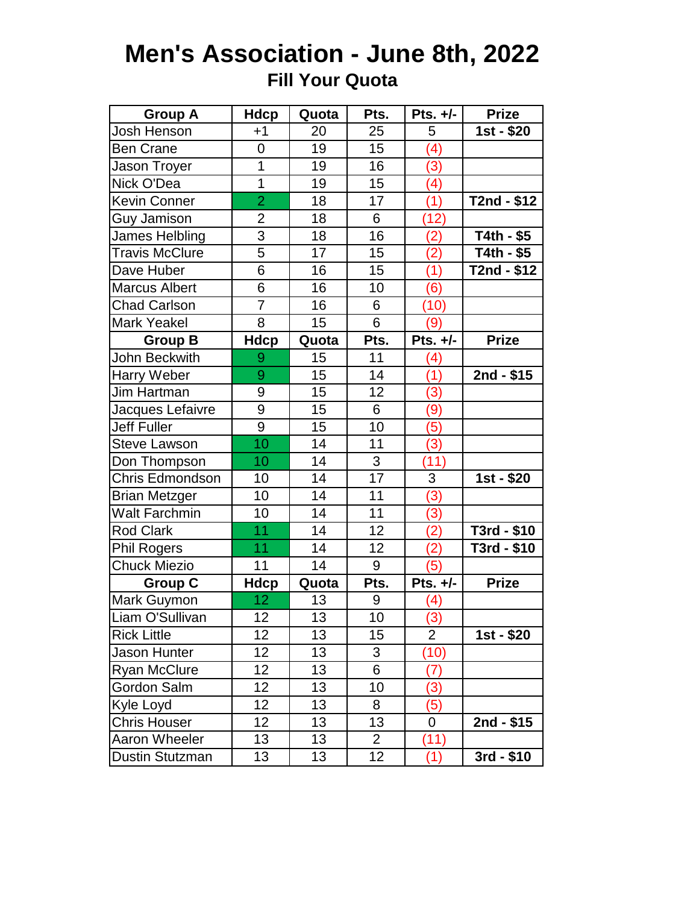## **Men's Association - June 8th, 2022 Fill Your Quota**

| <b>Group A</b>         | <b>Hdcp</b>     | Quota           | Pts.            | Pts. +/-         | <b>Prize</b>             |
|------------------------|-----------------|-----------------|-----------------|------------------|--------------------------|
| Josh Henson            | $+1$            | 20              | 25              | 5                | $\overline{1}$ st - \$20 |
| <b>Ben Crane</b>       | 0               | 19              | 15              | (4)              |                          |
| Jason Troyer           | $\overline{1}$  | 19              | 16              | (3)              |                          |
| Nick O'Dea             | 1               | 19              | 15              | (4)              |                          |
| <b>Kevin Conner</b>    | $\overline{2}$  | 18              | 17              | (1)              | T2nd - \$12              |
| Guy Jamison            | $\overline{2}$  | 18              | 6               | (12)             |                          |
| James Helbling         | 3               | 18              | 16              | (2)              | T4th - \$5               |
| <b>Travis McClure</b>  | 5               | 17              | 15              | (2)              | $T4th - $5$              |
| Dave Huber             | 6               | 16              | 15              | (1)              | T2nd - \$12              |
| <b>Marcus Albert</b>   | 6               | 16              | 10              | (6)              |                          |
| <b>Chad Carlson</b>    | 7               | 16              | 6               | (10)             |                          |
| <b>Mark Yeakel</b>     | 8               | 15              | 6               | (9)              |                          |
| <b>Group B</b>         | <b>Hdcp</b>     | Quota           | Pts.            | Pts. $+/-$       | <b>Prize</b>             |
| John Beckwith          | 9               | 15              | 11              | (4)              |                          |
| Harry Weber            | 9               | 15              | 14              | (1)              | 2nd - \$15               |
| Jim Hartman            | 9               | 15              | 12              | (3)              |                          |
| Jacques Lefaivre       | 9               | 15              | 6               | (9)              |                          |
| <b>Jeff Fuller</b>     | 9               | 15              | 10              | (5)              |                          |
| <b>Steve Lawson</b>    | 10              | 14              | 11              | (3)              |                          |
| Don Thompson           | 10              | 14              | 3               | (11)             |                          |
| Chris Edmondson        | 10              | 14              | 17              | 3                | 1st - \$20               |
| <b>Brian Metzger</b>   | 10              | 14              | 11              | (3)              |                          |
| <b>Walt Farchmin</b>   | 10              | 14              | $\overline{11}$ | (3)              |                          |
| <b>Rod Clark</b>       | 11              | 14              | 12              | (2)              | T3rd - \$10              |
| <b>Phil Rogers</b>     | 11              | 14              | 12              | (2)              | T3rd - \$10              |
| <b>Chuck Miezio</b>    | 11              | 14              | 9               | (5)              |                          |
| <b>Group C</b>         | <b>Hdcp</b>     | Quota           | Pts.            | Pts. $+/-$       | <b>Prize</b>             |
| Mark Guymon            | 12              | 13              | 9               | (4)              |                          |
| Liam O'Sullivan        | 12              | $\overline{13}$ | 10              | $\overline{(3)}$ |                          |
| <b>Rick Little</b>     | 12 <sub>2</sub> | 13              | 15              | $\overline{2}$   | 1st - \$20               |
| Jason Hunter           | 12 <sub>2</sub> | 13              | 3               | (10)             |                          |
| <b>Ryan McClure</b>    | 12 <sub>2</sub> | 13              | 6               | (7)              |                          |
| Gordon Salm            | 12 <sub>2</sub> | 13              | 10              | (3)              |                          |
| Kyle Loyd              | 12              | 13              | 8               | (5)              |                          |
| <b>Chris Houser</b>    | 12 <sub>2</sub> | 13              | 13              | 0                | 2nd - \$15               |
| Aaron Wheeler          | 13              | 13              | $\overline{2}$  | (11)             |                          |
| <b>Dustin Stutzman</b> | 13              | 13              | 12              | (1)              | 3rd - \$10               |